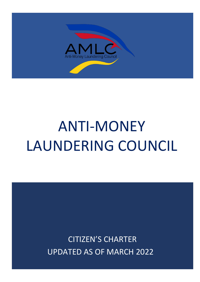

# ANTI-MONEY LAUNDERING COUNCIL

CITIZEN'S CHARTER UPDATED AS OF MARCH 2022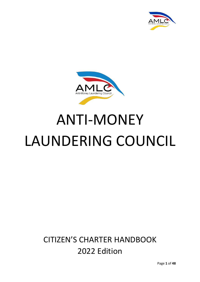



# ANTI-MONEY LAUNDERING COUNCIL

# **CITIZEN'S CHARTER HANDBOOK** 2022 Edition

Page **1** of **48**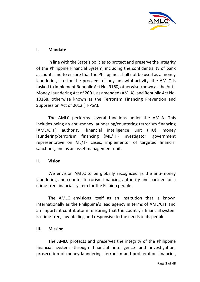

## **I. Mandate**

In line with the State's policies to protect and preserve the integrity of the Philippine Financial System, including the confidentiality of bank accounts and to ensure that the Philippines shall not be used as a money laundering site for the proceeds of any unlawful activity, the AMLC is tasked to implement Republic Act No. 9160, otherwise known as the Anti-Money Laundering Act of 2001, as amended (AMLA), and Republic Act No. 10168, otherwise known as the Terrorism Financing Prevention and Suppression Act of 2012 (TFPSA).

The AMLC performs several functions under the AMLA. This includes being an anti-money laundering/countering terrorism financing (AML/CTF) authority, financial intelligence unit (FIU), money laundering/terrorism financing (ML/TF) investigator, government representative on ML/TF cases, implementor of targeted financial sanctions, and as an asset management unit.

#### **II. Vision**

We envision AMLC to be globally recognized as the anti-money laundering and counter-terrorism financing authority and partner for a crime-free financial system for the Filipino people.

The AMLC envisions itself as an institution that is known internationally as the Philippine's lead agency in terms of AML/CTF and an important contributor in ensuring that the country's financial system is crime-free, law-abiding and responsive to the needs of its people.

#### **III. Mission**

The AMLC protects and preserves the integrity of the Philippine financial system through financial intelligence and investigation, prosecution of money laundering, terrorism and proliferation financing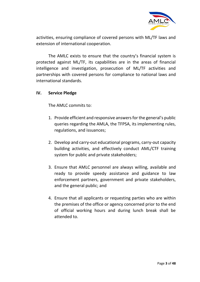

activities, ensuring compliance of covered persons with ML/TF laws and extension of international cooperation.

The AMLC exists to ensure that the country's financial system is protected against ML/TF, its capabilities are in the areas of financial intelligence and investigation, prosecution of ML/TF activities and partnerships with covered persons for compliance to national laws and international standards.

### **IV. Service Pledge**

The AMLC commits to:

- 1. Provide efficient and responsive answers for the general's public queries regarding the AMLA, the TFPSA, its implementing rules, regulations, and issuances;
- 2. Develop and carry-out educational programs, carry-out capacity building activities, and effectively conduct AML/CTF training system for public and private stakeholders;
- 3. Ensure that AMLC personnel are always willing, available and ready to provide speedy assistance and guidance to law enforcement partners, government and private stakeholders, and the general public; and
- 4. Ensure that all applicants or requesting parties who are within the premises of the office or agency concerned prior to the end of official working hours and during lunch break shall be attended to.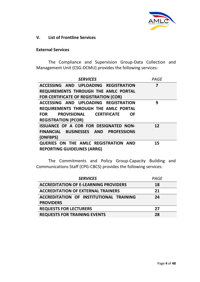

#### **V. List of Frontline Services**

#### **External Services**

The Compliance and Supervision Group-Data Collection and Management Unit (CSG-DCMU) provides the following services:

| <b>SERVICES</b>                                           | PAGE |
|-----------------------------------------------------------|------|
| ACCESSING AND UPLOADING REGISTRATION                      | 7    |
| REQUIREMENTS THROUGH THE AMLC PORTAL                      |      |
| <b>FOR CERTIFICATE OF REGISTRATION (COR)</b>              |      |
| ACCESSING AND UPLOADING REGISTRATION                      | 9    |
| REQUIREMENTS THROUGH THE AMLC PORTAL                      |      |
| <b>PROVISIONAL CERTIFICATE</b><br><b>FOR</b><br><b>OF</b> |      |
| <b>REGISTRATION (PCOR)</b>                                |      |
| <b>ISSUANCE OF A COR FOR DESIGNATED NON-</b>              | 12   |
| FINANCIAL BUSINESSES AND PROFESSIONS                      |      |
| (DNFBPS)                                                  |      |
| QUERIES ON THE AMLC REGISTRATION AND                      | 15   |
| <b>REPORTING GUIDELINES (ARRG)</b>                        |      |

The Commitments and Policy Group-Capacity Building and Communications Staff (CPG-CBCS) provides the following services:

| <b>SERVICES</b>                              | PAGE |
|----------------------------------------------|------|
| <b>ACCREDITATION OF E-LEARNING PROVIDERS</b> | 18   |
| <b>ACCREDITATION OF EXTERNAL TRAINERS</b>    | 21   |
| ACCREDITATION OF INSTITUTIONAL TRAINING      | 24   |
| <b>PROVIDERS</b>                             |      |
| <b>REQUESTS FOR LECTURERS</b>                | 27   |
| <b>REQUESTS FOR TRAINING EVENTS</b>          | 28   |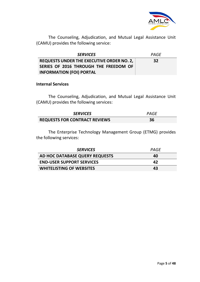

The Counseling, Adjudication, and Mutual Legal Assistance Unit (CAMU) provides the following service:

| <b>SERVICES</b>                           | PAGF |
|-------------------------------------------|------|
| REQUESTS UNDER THE EXECUTIVE ORDER NO. 2, | 32   |
| SERIES OF 2016 THROUGH THE FREEDOM OF     |      |
| <b>INFORMATION (FOI) PORTAL</b>           |      |

#### **Internal Services**

The Counseling, Adjudication, and Mutual Legal Assistance Unit (CAMU) provides the following services:

| <b>SERVICES</b>                      | PAGE |
|--------------------------------------|------|
| <b>REQUESTS FOR CONTRACT REVIEWS</b> | 36   |

The Enterprise Technology Management Group (ETMG) provides the following services:

| <b>SERVICES</b>                  | PAGF |
|----------------------------------|------|
| AD HOC DATABASE QUERY REQUESTS   | 40   |
| <b>END-USER SUPPORT SERVICES</b> | 47   |
| <b>WHITELISTING OF WEBSITES</b>  | 43   |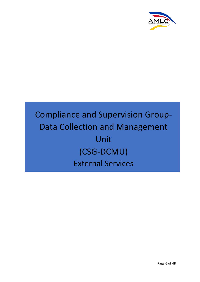

# Compliance and Supervision Group-Data Collection and Management Unit (CSG-DCMU) External Services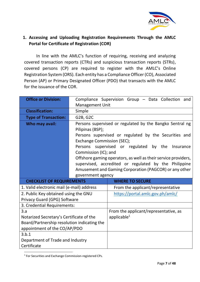

# **1. Accessing and Uploading Registration Requirements Through the AMLC Portal for Certificate of Registration (COR)**

In line with the AMLC's function of requiring, receiving and analyzing covered transaction reports (CTRs) and suspicious transaction reports (STRs), covered persons (CP) are required to register with the AMLC's Online Registration System (ORS). Each entity has a Compliance Officer (CO), Associated Person (AP) or Primary Designated Officer (PDO) that transacts with the AMLC for the issuance of the COR.

| <b>Office or Division:</b>                  |                            | Compliance Supervision Group - Data Collection and             |
|---------------------------------------------|----------------------------|----------------------------------------------------------------|
|                                             | <b>Management Unit</b>     |                                                                |
| <b>Classification:</b>                      | Simple                     |                                                                |
| <b>Type of Transaction:</b>                 | G2B, G2C                   |                                                                |
| Who may avail:                              |                            | Persons supervised or regulated by the Bangko Sentral ng       |
|                                             | Pilipinas (BSP);           |                                                                |
|                                             |                            | Persons supervised or regulated by the Securities and          |
|                                             | Exchange Commission (SEC); |                                                                |
|                                             |                            | Persons supervised or regulated by the<br>Insurance            |
|                                             | Commission (IC); and       |                                                                |
|                                             |                            | Offshore gaming operators, as well as their service providers, |
|                                             |                            | supervised, accredited or regulated by the Philippine          |
|                                             |                            | Amusement and Gaming Corporation (PAGCOR) or any other         |
|                                             | government agency          |                                                                |
| <b>CHECKLIST OF REQUIREMENTS</b>            |                            | <b>WHERE TO SECURE</b>                                         |
|                                             |                            |                                                                |
| 1. Valid electronic mail (e-mail) address   |                            | From the applicant/representative                              |
| 2. Public Key obtained using the GNU        |                            | https://portal.amlc.gov.ph/amlc/                               |
| Privacy Guard (GPG) Software                |                            |                                                                |
| 3. Credential Requirements:                 |                            |                                                                |
| 3.a                                         |                            | From the applicant/representative, as                          |
| Notarized Secretary's Certificate of the    |                            | applicable $1$                                                 |
| Board/Partnership resolution indicating the |                            |                                                                |
| appointment of the CO/AP/PDO                |                            |                                                                |
| 3.b.1                                       |                            |                                                                |
| Department of Trade and Industry            |                            |                                                                |

<sup>1</sup> For Securities and Exchange Commission-registered CPs.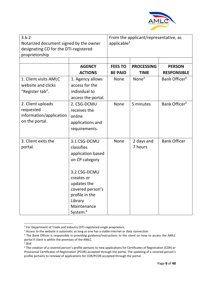

| 3.b.2<br>Notarized document signed by the owner<br>designating CO for the DTI-registered<br>proprietorship |                      | From the applicant/representative, as<br>applicable $2$ |                   |                           |
|------------------------------------------------------------------------------------------------------------|----------------------|---------------------------------------------------------|-------------------|---------------------------|
|                                                                                                            |                      |                                                         |                   |                           |
|                                                                                                            | <b>AGENCY</b>        | <b>FEES TO</b>                                          | <b>PROCESSING</b> | <b>PERSON</b>             |
|                                                                                                            | <b>ACTIONS</b>       | <b>BE PAID</b>                                          | <b>TIME</b>       | <b>RESPONSIBLE</b>        |
| 1. Client visits AMLC                                                                                      | 1. Agency allows     | <b>None</b>                                             | None $3$          | Bank Officer <sup>4</sup> |
| website and clicks                                                                                         | access for the       |                                                         |                   |                           |
| "Register tab".                                                                                            | individual to        |                                                         |                   |                           |
|                                                                                                            | access the portal.   |                                                         |                   |                           |
| 2. Client uploads                                                                                          | 2. CSG-DCMU          | <b>None</b>                                             | 5 minutes         | Bank Officer <sup>5</sup> |
| requested                                                                                                  | receives the         |                                                         |                   |                           |
| information/application                                                                                    | online               |                                                         |                   |                           |
| on the portal.                                                                                             | applications and     |                                                         |                   |                           |
|                                                                                                            | requirements.        |                                                         |                   |                           |
|                                                                                                            |                      |                                                         |                   |                           |
| 3. Client exits the                                                                                        | 3.1 CSG-DCMU         | <b>None</b>                                             | 2 days and        | <b>Bank Officer</b>       |
| portal.                                                                                                    | classifies           |                                                         | 7 hours           |                           |
|                                                                                                            | application based    |                                                         |                   |                           |
|                                                                                                            | on CP category       |                                                         |                   |                           |
|                                                                                                            |                      |                                                         |                   |                           |
|                                                                                                            | 3.2 CSG-DCMU         |                                                         |                   |                           |
|                                                                                                            | creates or           |                                                         |                   |                           |
|                                                                                                            | updates the          |                                                         |                   |                           |
|                                                                                                            | covered person's     |                                                         |                   |                           |
|                                                                                                            | profile in the       |                                                         |                   |                           |
|                                                                                                            | Library              |                                                         |                   |                           |
|                                                                                                            | Maintenance          |                                                         |                   |                           |
|                                                                                                            | System. <sup>6</sup> |                                                         |                   |                           |

<sup>&</sup>lt;sup>2</sup> For Department of Trade and Industry (DT)-registered single proprietors.

<sup>&</sup>lt;sup>3</sup> Access to the website is automatic as long as one has a stable internet or data connection.

<sup>&</sup>lt;sup>4</sup> The Bank Officer is responsible in providing guidance/instructions to the client on how to access the AMLC portal if client is within the premises of the AMLC.

<sup>5</sup> *Ibid.*

<sup>&</sup>lt;sup>6</sup> The creation of a covered person's profile pertains to new applications for Certificates of Registration (COR) or Provisional Certificates of Registration (PCOR) accepted through the portal. The updating of a covered person's profile pertains to renewal of applications for COR/PCOR accepted through the portal.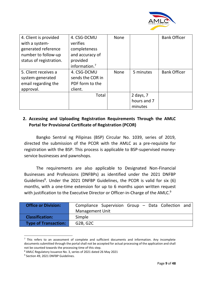

| 4. Client is provided   | 4. CSG-DCMU      | <b>None</b> |             | <b>Bank Officer</b> |
|-------------------------|------------------|-------------|-------------|---------------------|
| with a system-          | verifies         |             |             |                     |
| generated reference     | completeness     |             |             |                     |
| number to follow-up     | and accuracy of  |             |             |                     |
| status of registration. | provided         |             |             |                     |
|                         | information. $7$ |             |             |                     |
| 5. Client receives a    | 4. CSG-DCMU      | <b>None</b> | 5 minutes   | <b>Bank Officer</b> |
| system-generated        | sends the COR in |             |             |                     |
| email regarding the     | PDF form to the  |             |             |                     |
| approval.               | client.          |             |             |                     |
|                         | Total            |             | 2 days, $7$ |                     |
|                         |                  |             | hours and 7 |                     |
|                         |                  |             | minutes     |                     |

# **2. Accessing and Uploading Registration Requirements Through the AMLC Portal for Provisional Certificate of Registration (PCOR)**

Bangko Sentral ng Pilipinas (BSP) Circular No. 1039, series of 2019, directed the submission of the PCOR with the AMLC as a pre-requisite for registration with the BSP. This process is applicable to BSP-supervised moneyservice businesses and pawnshops.

The requirements are also applicable to Designated Non-Financial Businesses and Professions (DNFBPs) as identified under the 2021 DNFBP Guidelines<sup>8</sup>. Under the 2021 DNFBP Guidelines, the PCOR is valid for six (6) months, with a one-time extension for up to 6 months upon written request with justification to the Executive Director or Officer-in-Charge of the AMLC.<sup>9</sup>

| <b>Office or Division:</b>  | Compliance Supervision Group - Data Collection and |
|-----------------------------|----------------------------------------------------|
|                             | <b>Management Unit</b>                             |
| <b>Classification:</b>      | Simple                                             |
| <b>Type of Transaction:</b> | G2B, G2C                                           |

 $<sup>7</sup>$  This refers to an assessment of complete and sufficient documents and information. Any incomplete</sup> documents submitted through the portal shall not be accepted for actual processing of the application and shall not be counted towards the processing time of this step.

<sup>8</sup> AMLC Regulatory Issuance No. 3, series of 2021 dated 26 May 2021

<sup>9</sup> Section 49, 2021 DNFBP Guidelines.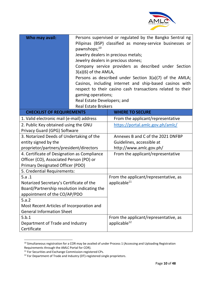

| Who may avail:                              | Persons supervised or regulated by the Bangko Sentral ng<br>Pilipinas (BSP) classified as money-service businesses or<br>pawnshops; <sup>10</sup><br>Jewelry dealers in precious metals;<br>Jewelry dealers in precious stones;<br>Company service providers as described under Section<br>$3(a)(6)$ of the AMLA,<br>Persons as described under Section $3(a)(7)$ of the AMLA;<br>Casinos, including internet and ship-based casinos with<br>respect to their casino cash transactions related to their<br>gaming operations;<br>Real Estate Developers; and<br><b>Real Estate Brokers</b> |                                       |  |  |
|---------------------------------------------|--------------------------------------------------------------------------------------------------------------------------------------------------------------------------------------------------------------------------------------------------------------------------------------------------------------------------------------------------------------------------------------------------------------------------------------------------------------------------------------------------------------------------------------------------------------------------------------------|---------------------------------------|--|--|
| <b>CHECKLIST OF REQUIREMENTS</b>            |                                                                                                                                                                                                                                                                                                                                                                                                                                                                                                                                                                                            | <b>WHERE TO SECURE</b>                |  |  |
| 1. Valid electronic mail (e-mail) address   |                                                                                                                                                                                                                                                                                                                                                                                                                                                                                                                                                                                            | From the applicant/representative     |  |  |
| 2. Public Key obtained using the GNU        |                                                                                                                                                                                                                                                                                                                                                                                                                                                                                                                                                                                            | https://portal.amlc.gov.ph/amlc/      |  |  |
| Privacy Guard (GPG) Software                |                                                                                                                                                                                                                                                                                                                                                                                                                                                                                                                                                                                            |                                       |  |  |
| 3. Notarized Deeds of Undertaking of the    |                                                                                                                                                                                                                                                                                                                                                                                                                                                                                                                                                                                            | Annexes B and C of the 2021 DNFBP     |  |  |
| entity signed by the                        |                                                                                                                                                                                                                                                                                                                                                                                                                                                                                                                                                                                            | Guidelines, accessible at             |  |  |
| proprietor/partners/president/directors     |                                                                                                                                                                                                                                                                                                                                                                                                                                                                                                                                                                                            | http://www.amlc.gov.ph/               |  |  |
| 4. Certificate of Designation as Compliance |                                                                                                                                                                                                                                                                                                                                                                                                                                                                                                                                                                                            | From the applicant/representative     |  |  |
| Officer (CO), Associated Person (PO) or     |                                                                                                                                                                                                                                                                                                                                                                                                                                                                                                                                                                                            |                                       |  |  |
| <b>Primary Designated Officer (PDO)</b>     |                                                                                                                                                                                                                                                                                                                                                                                                                                                                                                                                                                                            |                                       |  |  |
| 5. Credential Requirements:                 |                                                                                                                                                                                                                                                                                                                                                                                                                                                                                                                                                                                            |                                       |  |  |
| 5.a.1                                       |                                                                                                                                                                                                                                                                                                                                                                                                                                                                                                                                                                                            | From the applicant/representative, as |  |  |
| Notarized Secretary's Certificate of the    |                                                                                                                                                                                                                                                                                                                                                                                                                                                                                                                                                                                            | applicable <sup>11</sup>              |  |  |
| Board/Partnership resolution indicating the |                                                                                                                                                                                                                                                                                                                                                                                                                                                                                                                                                                                            |                                       |  |  |
| appointment of the CO/AP/PDO                |                                                                                                                                                                                                                                                                                                                                                                                                                                                                                                                                                                                            |                                       |  |  |
| 5.a.2                                       |                                                                                                                                                                                                                                                                                                                                                                                                                                                                                                                                                                                            |                                       |  |  |
| Most Recent Articles of Incorporation and   |                                                                                                                                                                                                                                                                                                                                                                                                                                                                                                                                                                                            |                                       |  |  |
| <b>General Information Sheet</b>            |                                                                                                                                                                                                                                                                                                                                                                                                                                                                                                                                                                                            |                                       |  |  |
| 5.b.1                                       |                                                                                                                                                                                                                                                                                                                                                                                                                                                                                                                                                                                            | From the applicant/representative, as |  |  |
| Department of Trade and Industry            |                                                                                                                                                                                                                                                                                                                                                                                                                                                                                                                                                                                            | applicable <sup>12</sup>              |  |  |
| Certificate                                 |                                                                                                                                                                                                                                                                                                                                                                                                                                                                                                                                                                                            |                                       |  |  |

<sup>&</sup>lt;sup>10</sup> Simultaneous registration for a COR may be availed of under Process 1 (Accessing and Uploading Registration Requirements through the AMLC Portal for COR).

<sup>&</sup>lt;sup>11</sup> For Securities and Exchange Commission-registered CPs.

 $12$  For Department of Trade and Industry (DT)-registered single proprietors.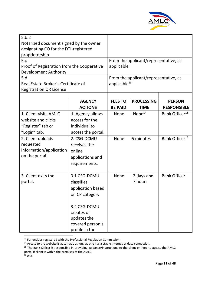

| 5.b.2<br>Notarized document signed by the owner<br>designating CO for the DTI-registered<br>proprietorship                                                      |                                                                                                                                                         |                                                             |                           |                                                          |
|-----------------------------------------------------------------------------------------------------------------------------------------------------------------|---------------------------------------------------------------------------------------------------------------------------------------------------------|-------------------------------------------------------------|---------------------------|----------------------------------------------------------|
| 5.c<br>Proof of Registration from the Cooperative<br><b>Development Authority</b>                                                                               |                                                                                                                                                         | From the applicant/representative, as<br>applicable         |                           |                                                          |
| 5.d<br>Real Estate Broker's Certificate of<br><b>Registration OR License</b>                                                                                    |                                                                                                                                                         | From the applicant/representative, as<br>applicable $^{13}$ |                           |                                                          |
|                                                                                                                                                                 | <b>AGENCY</b>                                                                                                                                           | <b>FEES TO</b>                                              | <b>PROCESSING</b>         | <b>PERSON</b>                                            |
|                                                                                                                                                                 | <b>ACTIONS</b>                                                                                                                                          | <b>BE PAID</b>                                              | <b>TIME</b>               | <b>RESPONSIBLE</b>                                       |
| 1. Client visits AMLC<br>website and clicks<br>"Register" tab or<br>"Login" tab.<br>2. Client uploads<br>requested<br>information/application<br>on the portal. | 1. Agency allows<br>access for the<br>individual to<br>access the portal.<br>2. CSG-DCMU<br>receives the<br>online<br>applications and<br>requirements. | <b>None</b><br><b>None</b>                                  | None $^{14}$<br>5 minutes | Bank Officer <sup>15</sup><br>Bank Officer <sup>16</sup> |
| 3. Client exits the<br>portal.                                                                                                                                  | 3.1 CSG-DCMU<br>classifies<br>application based<br>on CP category<br>3.2 CSG-DCMU<br>creates or<br>updates the<br>covered person's<br>profile in the    | <b>None</b>                                                 | 2 days and<br>7 hours     | <b>Bank Officer</b>                                      |

<sup>&</sup>lt;sup>13</sup> For entities registered with the Professional Regulation Commission.

<sup>&</sup>lt;sup>14</sup> Access to the website is automatic as long as one has a stable internet or data connection.

<sup>&</sup>lt;sup>15</sup> The Bank Officer is responsible in providing guidance/instructions to the client on how to access the AMLC portal if client is within the premises of the AMLC.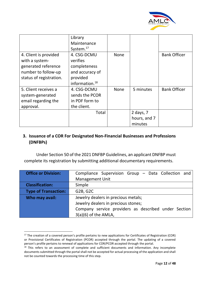![](_page_12_Picture_0.jpeg)

|                                                                                                                  | Library<br>Maintenance<br>System. $17$                                 |             |                                        |                     |
|------------------------------------------------------------------------------------------------------------------|------------------------------------------------------------------------|-------------|----------------------------------------|---------------------|
| 4. Client is provided<br>with a system-<br>generated reference<br>number to follow-up<br>status of registration. | 4. CSG-DCMU<br>verifies<br>completeness<br>and accuracy of<br>provided | <b>None</b> |                                        | <b>Bank Officer</b> |
|                                                                                                                  | information. $^{18}$                                                   |             |                                        |                     |
| 5. Client receives a<br>system-generated<br>email regarding the<br>approval.                                     | 4. CSG-DCMU<br>sends the PCOR<br>in PDF form to<br>the client.         | <b>None</b> | 5 minutes                              | <b>Bank Officer</b> |
|                                                                                                                  | Total                                                                  |             | 2 days, $7$<br>hours, and 7<br>minutes |                     |

## **3. Issuance of a COR For Designated Non-Financial Businesses and Professions (DNFBPs)**

Under Section 50 of the 2021 DNFBP Guidelines, an applicant DNFBP must complete its registration by submitting additional documentary requirements.

| <b>Office or Division:</b>  | Compliance Supervision Group - Data Collection and   |
|-----------------------------|------------------------------------------------------|
|                             | <b>Management Unit</b>                               |
| <b>Classification:</b>      | Simple                                               |
| <b>Type of Transaction:</b> | G2B, G2C                                             |
| Who may avail:              | Jewelry dealers in precious metals;                  |
|                             | Jewelry dealers in precious stones;                  |
|                             | Company service providers as described under Section |
|                             | $3(a)(6)$ of the AMLA,                               |

<sup>&</sup>lt;sup>17</sup> The creation of a covered person's profile pertains to new applications for Certificates of Registration (COR) or Provisional Certificates of Registration (PCOR) accepted through the portal. The updating of a covered person's profile pertains to renewal of applications for COR/PCOR accepted through the portal.<br><sup>18</sup> This refers to an assessment of complete and sufficient documents and information. Any incomplete

documents submitted through the portal shall not be accepted for actual processing of the application and shall not be counted towards the processing time of this step.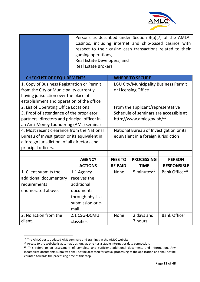![](_page_13_Picture_0.jpeg)

|                                                                                                                                                                                                                                                    | Persons as described under Section $3(a)(7)$ of the AMLA;<br>Casinos, including internet and ship-based casinos with<br>respect to their casino cash transactions related to their<br>gaming operations;<br>Real Estate Developers; and<br><b>Real Estate Brokers</b> |                                                                                 |                        |                            |  |
|----------------------------------------------------------------------------------------------------------------------------------------------------------------------------------------------------------------------------------------------------|-----------------------------------------------------------------------------------------------------------------------------------------------------------------------------------------------------------------------------------------------------------------------|---------------------------------------------------------------------------------|------------------------|----------------------------|--|
| <b>CHECKLIST OF REQUIREMENTS</b>                                                                                                                                                                                                                   |                                                                                                                                                                                                                                                                       |                                                                                 | <b>WHERE TO SECURE</b> |                            |  |
| 1. Copy of Business Registration or Permit<br><b>LGU City/Municipality Business Permit</b><br>from the City or Municipality currently<br>or Licensing Office<br>having jurisdiction over the place of<br>establishment and operation of the office |                                                                                                                                                                                                                                                                       |                                                                                 |                        |                            |  |
| 2. List of Operating Office Locations<br>From the applicant/representative                                                                                                                                                                         |                                                                                                                                                                                                                                                                       |                                                                                 |                        |                            |  |
| 3. Proof of attendance of the proprietor,<br>Schedule of seminars are accessible at<br>http://www.amlc.gov.ph/ <sup>19</sup><br>partners, directors and principal officer in<br>an Anti-Money Laundering (AML) seminar                             |                                                                                                                                                                                                                                                                       |                                                                                 |                        |                            |  |
| 4. Most recent clearance from the National<br>Bureau of Investigation or its equivalent in<br>a foreign jurisdiction, of all directors and<br>principal officers.                                                                                  |                                                                                                                                                                                                                                                                       | National Bureau of Investigation or its<br>equivalent in a foreign jurisdiction |                        |                            |  |
|                                                                                                                                                                                                                                                    |                                                                                                                                                                                                                                                                       |                                                                                 |                        |                            |  |
|                                                                                                                                                                                                                                                    | <b>AGENCY</b>                                                                                                                                                                                                                                                         | <b>FEES TO</b>                                                                  | <b>PROCESSING</b>      | <b>PERSON</b>              |  |
|                                                                                                                                                                                                                                                    | <b>ACTIONS</b>                                                                                                                                                                                                                                                        | <b>BE PAID</b>                                                                  | <b>TIME</b>            | <b>RESPONSIBLE</b>         |  |
| 1. Client submits the                                                                                                                                                                                                                              | 1.1 Agency                                                                                                                                                                                                                                                            | <b>None</b>                                                                     | 5 minutes $^{20}$      | Bank Officer <sup>21</sup> |  |
| additional documentary                                                                                                                                                                                                                             | receives the                                                                                                                                                                                                                                                          |                                                                                 |                        |                            |  |
| requirements                                                                                                                                                                                                                                       | additional                                                                                                                                                                                                                                                            |                                                                                 |                        |                            |  |
| enumerated above.                                                                                                                                                                                                                                  | documents                                                                                                                                                                                                                                                             |                                                                                 |                        |                            |  |
|                                                                                                                                                                                                                                                    | through physical                                                                                                                                                                                                                                                      |                                                                                 |                        |                            |  |
|                                                                                                                                                                                                                                                    | submission or e-                                                                                                                                                                                                                                                      |                                                                                 |                        |                            |  |
|                                                                                                                                                                                                                                                    | mail.                                                                                                                                                                                                                                                                 |                                                                                 |                        |                            |  |
| 2. No action from the                                                                                                                                                                                                                              | 2.1 CSG-DCMU                                                                                                                                                                                                                                                          | None                                                                            | 2 days and             | <b>Bank Officer</b>        |  |
| client.                                                                                                                                                                                                                                            | classifies                                                                                                                                                                                                                                                            |                                                                                 | 7 hours                |                            |  |

<sup>&</sup>lt;sup>19</sup> The AMLC posts updated AML seminars and trainings in the AMLC website.

<sup>&</sup>lt;sup>20</sup> Access to the website is automatic as long as one has a stable internet or data connection.

<sup>&</sup>lt;sup>21</sup> This refers to an assessment of complete and sufficient additional documents and information. Any incomplete documents submitted shall not be accepted for actual processing of the application and shall not be counted towards the processing time of this step.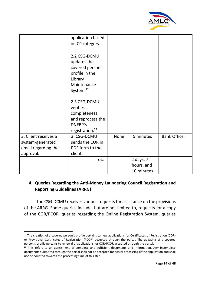![](_page_14_Picture_0.jpeg)

|                      | application based<br>on CP category                                                                                  |             |            |                     |
|----------------------|----------------------------------------------------------------------------------------------------------------------|-------------|------------|---------------------|
|                      | 2.2 CSG-DCMU<br>updates the<br>covered person's<br>profile in the<br>Library<br>Maintenance<br>System. <sup>22</sup> |             |            |                     |
|                      | 2.3 CSG-DCMU                                                                                                         |             |            |                     |
|                      | verifies                                                                                                             |             |            |                     |
|                      | completeness                                                                                                         |             |            |                     |
|                      | and reprocess the                                                                                                    |             |            |                     |
|                      | DNFBP's                                                                                                              |             |            |                     |
|                      | registration. <sup>23</sup>                                                                                          |             |            |                     |
| 3. Client receives a | 3. CSG-DCMU                                                                                                          | <b>None</b> | 5 minutes  | <b>Bank Officer</b> |
| system-generated     | sends the COR in                                                                                                     |             |            |                     |
| email regarding the  | PDF form to the                                                                                                      |             |            |                     |
| approval.            | client.                                                                                                              |             |            |                     |
|                      | Total                                                                                                                |             | 2 days, 7  |                     |
|                      |                                                                                                                      |             | hours, and |                     |
|                      |                                                                                                                      |             | 10 minutes |                     |

# **4. Queries Regarding the Anti-Money Laundering Council Registration and Reporting Guidelines (ARRG)**

The CSG-DCMU receives various requests for assistance on the provisions of the ARRG. Some queries include, but are not limited to, requests for a copy of the COR/PCOR, queries regarding the Online Registration System, queries

<sup>&</sup>lt;sup>22</sup> The creation of a covered person's profile pertains to new applications for Certificates of Registration (COR) or Provisional Certificates of Registration (PCOR) accepted through the portal. The updating of a covered person's profile pertains to renewal of applications for COR/PCOR accepted through the portal.

 $^{23}$  This refers to an assessment of complete and sufficient documents and information. Any incomplete documents submitted through the portal shall not be accepted for actual processing of the application and shall not be counted towards the processing time of this step.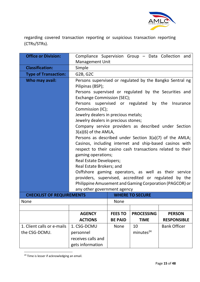![](_page_15_Picture_0.jpeg)

regarding covered transaction reporting or suspicious transaction reporting (CTRs/STRs).

| <b>Office or Division:</b>       | Compliance Supervision Group - Data Collection and                                                                 |                |                        |                                                            |  |  |
|----------------------------------|--------------------------------------------------------------------------------------------------------------------|----------------|------------------------|------------------------------------------------------------|--|--|
|                                  | <b>Management Unit</b>                                                                                             |                |                        |                                                            |  |  |
| <b>Classification:</b>           | Simple                                                                                                             |                |                        |                                                            |  |  |
| <b>Type of Transaction:</b>      | G2B, G2C                                                                                                           |                |                        |                                                            |  |  |
| Who may avail:                   |                                                                                                                    |                |                        | Persons supervised or regulated by the Bangko Sentral ng   |  |  |
|                                  | Pilipinas (BSP);                                                                                                   |                |                        |                                                            |  |  |
|                                  |                                                                                                                    |                |                        | Persons supervised or regulated by the Securities and      |  |  |
|                                  | Exchange Commission (SEC);                                                                                         |                |                        |                                                            |  |  |
|                                  | Persons supervised or regulated by the<br>Insurance                                                                |                |                        |                                                            |  |  |
|                                  | Commission (IC);                                                                                                   |                |                        |                                                            |  |  |
|                                  | Jewelry dealers in precious metals;                                                                                |                |                        |                                                            |  |  |
|                                  | Jewelry dealers in precious stones;                                                                                |                |                        |                                                            |  |  |
|                                  | Company service providers as described under Section                                                               |                |                        |                                                            |  |  |
|                                  | $3(a)(6)$ of the AMLA,                                                                                             |                |                        |                                                            |  |  |
|                                  | Persons as described under Section 3(a)(7) of the AMLA;<br>Casinos, including internet and ship-based casinos with |                |                        |                                                            |  |  |
|                                  |                                                                                                                    |                |                        |                                                            |  |  |
|                                  |                                                                                                                    |                |                        | respect to their casino cash transactions related to their |  |  |
|                                  | gaming operations;                                                                                                 |                |                        |                                                            |  |  |
|                                  | <b>Real Estate Developers;</b><br>Real Estate Brokers; and                                                         |                |                        |                                                            |  |  |
|                                  |                                                                                                                    |                |                        | Osffshore gaming operators, as well as their service       |  |  |
|                                  |                                                                                                                    |                |                        | providers, supervised, accredited or regulated by the      |  |  |
|                                  |                                                                                                                    |                |                        | Philippine Amusement and Gaming Corporation (PAGCOR) or    |  |  |
|                                  | any other government agency                                                                                        |                |                        |                                                            |  |  |
| <b>CHECKLIST OF REQUIREMENTS</b> |                                                                                                                    |                | <b>WHERE TO SECURE</b> |                                                            |  |  |
| <b>None</b>                      |                                                                                                                    | <b>None</b>    |                        |                                                            |  |  |
|                                  |                                                                                                                    |                |                        |                                                            |  |  |
|                                  | <b>AGENCY</b>                                                                                                      | <b>FEES TO</b> | <b>PROCESSING</b>      | <b>PERSON</b>                                              |  |  |
|                                  | <b>ACTIONS</b>                                                                                                     | <b>BE PAID</b> | <b>TIME</b>            | <b>RESPONSIBLE</b>                                         |  |  |
| 1. Client calls or e-mails       | 1. CSG-DCMU                                                                                                        | None           | 10                     | <b>Bank Officer</b>                                        |  |  |
| the CSG-DCMU.                    | personnel                                                                                                          |                | minutes <sup>24</sup>  |                                                            |  |  |
|                                  | receives calls and                                                                                                 |                |                        |                                                            |  |  |
|                                  | gets information                                                                                                   |                |                        |                                                            |  |  |

<sup>&</sup>lt;sup>24</sup> Time is lesser if acknowledging an email.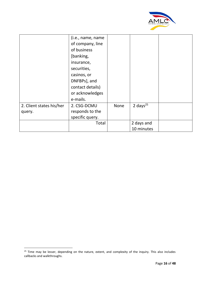![](_page_16_Picture_0.jpeg)

|                          | (i.e., name, name<br>of company, line<br>of business<br>[banking,<br>insurance,<br>securities,<br>casinos, or<br>DNFBPs], and<br>contact details)<br>or acknowledges<br>e-mails. |             |                |  |
|--------------------------|----------------------------------------------------------------------------------------------------------------------------------------------------------------------------------|-------------|----------------|--|
| 2. Client states his/her | 2. CSG-DCMU                                                                                                                                                                      | <b>None</b> | 2 days $^{25}$ |  |
| query.                   | responds to the                                                                                                                                                                  |             |                |  |
|                          | specific query.                                                                                                                                                                  |             |                |  |
|                          | Total                                                                                                                                                                            |             | 2 days and     |  |
|                          |                                                                                                                                                                                  |             | 10 minutes     |  |

<sup>&</sup>lt;sup>25</sup> Time may be lesser, depending on the nature, extent, and complexity of the inquiry. This also includes callbacks and walkthroughs.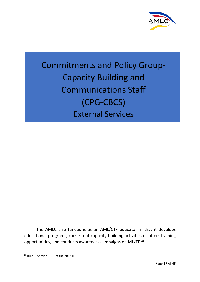![](_page_17_Picture_0.jpeg)

# Commitments and Policy Group-Capacity Building and Communications Staff (CPG-CBCS) External Services

The AMLC also functions as an AML/CTF educator in that it develops educational programs, carries out capacity-building activities or offers training opportunities, and conducts awareness campaigns on ML/TF.<sup>26</sup>

<sup>26</sup> Rule 6, Section 1.5.1 of the 2018 IRR.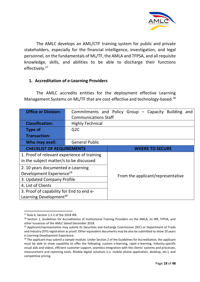![](_page_18_Picture_0.jpeg)

The AMLC develops an AML/CTF training system for public and private stakeholders, especially for the financial intelligence, investigation, and legal personnel, on the fundamentals of ML/TF, the AMLA and TFPSA, and all requisite knowledge, skills, and abilities to be able to discharge their functions effectively.<sup>27</sup>

## **1. Accreditation of e-Learning Providers**

The AMLC accredits entities for the deployment effective Learning Management Systems on ML/TF that are cost-effective and technology-based.<sup>28</sup>

| <b>Office or Division:</b>                                                             | <b>Communications Staff</b> | Commitments and Policy Group - Capacity Building and |
|----------------------------------------------------------------------------------------|-----------------------------|------------------------------------------------------|
| <b>Classification:</b>                                                                 | <b>Highly Technical</b>     |                                                      |
| <b>Type of</b>                                                                         | G <sub>2</sub> C            |                                                      |
| <b>Transaction:</b>                                                                    |                             |                                                      |
| Who may avail:                                                                         | <b>General Public</b>       |                                                      |
| <b>CHECKLIST OF REQUIREMENTS</b>                                                       |                             | <b>WHERE TO SECURE</b>                               |
| 1. Proof of relevant experience of training<br>in the subject matter/s to be discussed |                             |                                                      |
| 2. 10 years documented e-Learning                                                      |                             |                                                      |
| Development Experience <sup>29</sup>                                                   |                             | From the applicant/representative                    |
| 3. Updated Company Profile                                                             |                             |                                                      |
| 4. List of Clients                                                                     |                             |                                                      |
| 3. Proof of capability for End to end e-                                               |                             |                                                      |
| Learning Development <sup>30</sup>                                                     |                             |                                                      |

 $27$  Rule 6, Section 1.5.2 of the 2018 IRR.

<sup>&</sup>lt;sup>28</sup> Section 1, Guidelines for Accreditation of Institutional Training Providers on the AMLA, its IRR, TFPSA, and other Issuances of the AMLC dated December 2018.

 $29$  Applicant/representative may submit its Securities and Exchange Commission (SEC) or Department of Trade and Industry (DTI) registration as proof. Other equivalent documents may be also be submitted to show 10 years e-Learning Development Experience.

<sup>&</sup>lt;sup>30</sup> The applicant may submit a sample module. Under Section 2 of the Guidelines for Accreditation, the applicant must be able to show capability to offer the following: custom e-learning, rapid e-learning, industry-specific visual aids and videos, efficient customer support, seamless integration with the clients' systems and processes, measurement and reporting tools, flexible digital solutions (i.e. mobile phone application, desktop, etc.), and competitive pricing.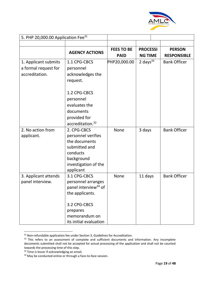![](_page_19_Picture_0.jpeg)

| 5. PHP 20,000.00 Application Fee <sup>31</sup> |                                  |                   |                 |                     |
|------------------------------------------------|----------------------------------|-------------------|-----------------|---------------------|
|                                                |                                  |                   |                 |                     |
|                                                | <b>AGENCY ACTIONS</b>            | <b>FEES TO BE</b> | <b>PROCESSI</b> | <b>PERSON</b>       |
|                                                |                                  | <b>PAID</b>       | <b>NG TIME</b>  | <b>RESPONSIBLE</b>  |
| 1. Applicant submits                           | 1.1 CPG-CBCS                     | PHP20,000.00      | 2 days $33$     | <b>Bank Officer</b> |
| a formal request for                           | personnel                        |                   |                 |                     |
| accreditation.                                 | acknowledges the                 |                   |                 |                     |
|                                                | request.                         |                   |                 |                     |
|                                                | 1.2 CPG-CBCS                     |                   |                 |                     |
|                                                | personnel                        |                   |                 |                     |
|                                                | evaluates the                    |                   |                 |                     |
|                                                | documents                        |                   |                 |                     |
|                                                | provided for                     |                   |                 |                     |
|                                                | accreditation. <sup>32</sup>     |                   |                 |                     |
| 2. No action from                              | 2. CPG-CBCS                      | None              | 3 days          | <b>Bank Officer</b> |
| applicant.                                     | personnel verifies               |                   |                 |                     |
|                                                | the documents                    |                   |                 |                     |
|                                                | submitted and                    |                   |                 |                     |
|                                                | conducts                         |                   |                 |                     |
|                                                | background                       |                   |                 |                     |
|                                                | investigation of the             |                   |                 |                     |
|                                                | applicant                        |                   |                 |                     |
| 3. Applicant attends                           | 3.1 CPG-CBCS                     | None              | 11 days         | <b>Bank Officer</b> |
| panel interview.                               | personnel arranges               |                   |                 |                     |
|                                                | panel interview <sup>34</sup> of |                   |                 |                     |
|                                                | the applicants.                  |                   |                 |                     |
|                                                | 3.2 CPG-CBCS                     |                   |                 |                     |
|                                                | prepares                         |                   |                 |                     |
|                                                | memorandum on                    |                   |                 |                     |
|                                                | its initial evaluation           |                   |                 |                     |

<sup>&</sup>lt;sup>31</sup> Non-refundable application fee under Section 3, Guidelines for Accreditation.

<sup>&</sup>lt;sup>32</sup> This refers to an assessment of complete and sufficient documents and information. Any incomplete documents submitted shall not be accepted for actual processing of the application and shall not be counted towards the processing time of this step.

<sup>&</sup>lt;sup>33</sup> Time is lesser if acknowledging an email.

<sup>&</sup>lt;sup>34</sup> May be conducted online or through a face-to-face session.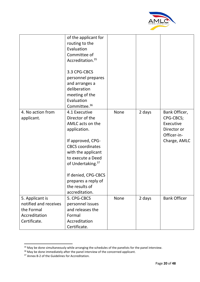![](_page_20_Picture_0.jpeg)

|                                                                                         | of the applicant for<br>routing to the<br>Evaluation<br>Committee of<br>Accreditation. <sup>35</sup><br>3.3 CPG-CBCS<br>personnel prepares<br>and arranges a<br>deliberation<br>meeting of the<br>Evaluation<br>Committee. <sup>36</sup>                                           |      |        |                                                                                       |
|-----------------------------------------------------------------------------------------|------------------------------------------------------------------------------------------------------------------------------------------------------------------------------------------------------------------------------------------------------------------------------------|------|--------|---------------------------------------------------------------------------------------|
| 4. No action from<br>applicant.                                                         | 4.1 Executive<br>Director of the<br>AMLC acts on the<br>application.<br>If approved, CPG-<br><b>CBCS</b> coordinates<br>with the applicant<br>to execute a Deed<br>of Undertaking. <sup>37</sup><br>If denied, CPG-CBCS<br>prepares a reply of<br>the results of<br>accreditation. | None | 2 days | Bank Officer,<br>CPG-CBCS;<br>Executive<br>Director or<br>Officer-in-<br>Charge, AMLC |
| 5. Applicant is<br>notified and receives<br>the Formal<br>Accreditation<br>Certificate. | 5. CPG-CBCS<br>personnel issues<br>and releases the<br>Formal<br>Accreditation<br>Certificate.                                                                                                                                                                                     | None | 2 days | <b>Bank Officer</b>                                                                   |

<sup>&</sup>lt;sup>35</sup> May be done simultaneously while arranging the schedules of the panelists for the panel interview.

 $36$  May be done immediately after the panel interview of the concerned applicant.

<sup>37</sup> Annex B-2 of the Guidelines for Accreditation.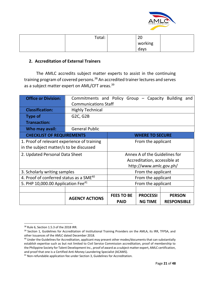![](_page_21_Picture_0.jpeg)

| Total: | ിറ<br>ZU |  |
|--------|----------|--|
|        | working  |  |
|        | days     |  |

### **2. Accreditation of External Trainers**

The AMLC accredits subject matter experts to assist in the continuing training program of covered persons.<sup>38</sup> An accredited trainer lectures and serves as a subject matter expert on AML/CFT areas.<sup>39</sup>

| <b>Office or Division:</b>                          | Commitments and Policy Group - Capacity Building<br>and |                    |                               |                    |  |  |
|-----------------------------------------------------|---------------------------------------------------------|--------------------|-------------------------------|--------------------|--|--|
|                                                     | <b>Communications Staff</b>                             |                    |                               |                    |  |  |
| <b>Classification:</b>                              | <b>Highly Technical</b>                                 |                    |                               |                    |  |  |
| <b>Type of</b>                                      | G <sub>2</sub> C, G <sub>2</sub> B                      |                    |                               |                    |  |  |
| <b>Transaction:</b>                                 |                                                         |                    |                               |                    |  |  |
| Who may avail:                                      | <b>General Public</b>                                   |                    |                               |                    |  |  |
| <b>CHECKLIST OF REQUIREMENTS</b>                    | <b>WHERE TO SECURE</b>                                  |                    |                               |                    |  |  |
| 1. Proof of relevant experience of training         | From the applicant                                      |                    |                               |                    |  |  |
| in the subject matter/s to be discussed             |                                                         |                    |                               |                    |  |  |
| 2. Updated Personal Data Sheet                      |                                                         |                    | Annex A of the Guidelines for |                    |  |  |
|                                                     |                                                         |                    | Accreditation, accessible at  |                    |  |  |
|                                                     |                                                         |                    | http://www.amlc.gov.ph/       |                    |  |  |
| 3. Scholarly writing samples                        |                                                         |                    | From the applicant            |                    |  |  |
| 4. Proof of conferred status as a SME <sup>40</sup> |                                                         | From the applicant |                               |                    |  |  |
| 5. PHP 10,000.00 Application Fee $^{41}$            |                                                         |                    | From the applicant            |                    |  |  |
|                                                     |                                                         |                    |                               |                    |  |  |
|                                                     | <b>AGENCY ACTIONS</b>                                   | <b>FEES TO BE</b>  | <b>PROCESSI</b>               | <b>PERSON</b>      |  |  |
|                                                     |                                                         | <b>PAID</b>        | <b>NG TIME</b>                | <b>RESPONSIBLE</b> |  |  |

<sup>&</sup>lt;sup>38</sup> Rule 6, Section 1.5.3 of the 2018 IRR.

<sup>&</sup>lt;sup>39</sup> Section 1, Guidelines for Accreditation of Institutional Training Providers on the AMLA, its IRR, TFPSA, and other Issuances of the AMLC dated December 2018.

<sup>40</sup> Under the Guidelines for Accreditation, applicant may present other modes/documents that can substantially establish expertise such as but not limited to Civil Service Commission accreditation, proof of membership to the Philippine Society for Talent Development Inc., proof of award as a subject matter expert, AMLC certification, and proof that one is a Certified Anti-Money Laundering Specialist (ACAMS).

<sup>41</sup> Non-refundable application fee under Section 3, Guidelines for Accreditation.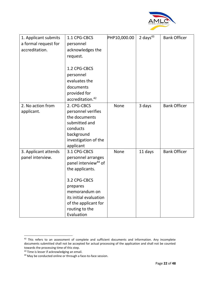![](_page_22_Picture_0.jpeg)

| 1. Applicant submits | 1.1 CPG-CBCS                     | PHP10,000.00 | 2 days $43$ | <b>Bank Officer</b> |
|----------------------|----------------------------------|--------------|-------------|---------------------|
| a formal request for | personnel                        |              |             |                     |
| accreditation.       | acknowledges the                 |              |             |                     |
|                      | request.                         |              |             |                     |
|                      |                                  |              |             |                     |
|                      | 1.2 CPG-CBCS                     |              |             |                     |
|                      | personnel                        |              |             |                     |
|                      | evaluates the                    |              |             |                     |
|                      | documents                        |              |             |                     |
|                      | provided for                     |              |             |                     |
|                      | accreditation. <sup>42</sup>     |              |             |                     |
| 2. No action from    | 2. CPG-CBCS                      | None         | 3 days      | <b>Bank Officer</b> |
| applicant.           | personnel verifies               |              |             |                     |
|                      | the documents                    |              |             |                     |
|                      | submitted and                    |              |             |                     |
|                      | conducts                         |              |             |                     |
|                      | background                       |              |             |                     |
|                      | investigation of the             |              |             |                     |
|                      | applicant                        |              |             |                     |
| 3. Applicant attends | 3.1 CPG-CBCS                     | None         | 11 days     | <b>Bank Officer</b> |
| panel interview.     | personnel arranges               |              |             |                     |
|                      | panel interview <sup>44</sup> of |              |             |                     |
|                      | the applicants.                  |              |             |                     |
|                      | 3.2 CPG-CBCS                     |              |             |                     |
|                      | prepares                         |              |             |                     |
|                      | memorandum on                    |              |             |                     |
|                      | its initial evaluation           |              |             |                     |
|                      | of the applicant for             |              |             |                     |
|                      | routing to the                   |              |             |                     |
|                      | Evaluation                       |              |             |                     |

<sup>&</sup>lt;sup>42</sup> This refers to an assessment of complete and sufficient documents and information. Any incomplete documents submitted shall not be accepted for actual processing of the application and shall not be counted towards the processing time of this step.

<sup>&</sup>lt;sup>43</sup> Time is lesser if acknowledging an email.

<sup>44</sup> May be conducted online or through a face-to-face session.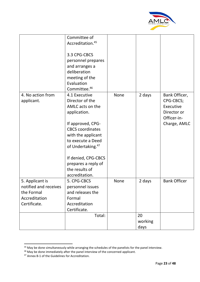![](_page_23_Picture_0.jpeg)

|                                                                                         | Committee of<br>Accreditation. <sup>45</sup><br>3.3 CPG-CBCS<br>personnel prepares<br>and arranges a<br>deliberation<br>meeting of the<br>Evaluation<br>Committee. <sup>46</sup>                                                                                                   |             |                       |                                                                                       |
|-----------------------------------------------------------------------------------------|------------------------------------------------------------------------------------------------------------------------------------------------------------------------------------------------------------------------------------------------------------------------------------|-------------|-----------------------|---------------------------------------------------------------------------------------|
| 4. No action from<br>applicant.                                                         | 4.1 Executive<br>Director of the<br>AMLC acts on the<br>application.<br>If approved, CPG-<br><b>CBCS</b> coordinates<br>with the applicant<br>to execute a Deed<br>of Undertaking. <sup>47</sup><br>If denied, CPG-CBCS<br>prepares a reply of<br>the results of<br>accreditation. | <b>None</b> | 2 days                | Bank Officer,<br>CPG-CBCS;<br>Executive<br>Director or<br>Officer-in-<br>Charge, AMLC |
| 5. Applicant is<br>notified and receives<br>the Formal<br>Accreditation<br>Certificate. | 5. CPG-CBCS<br>personnel issues<br>and releases the<br>Formal<br>Accreditation<br>Certificate.                                                                                                                                                                                     | <b>None</b> | 2 days                | <b>Bank Officer</b>                                                                   |
|                                                                                         | Total:                                                                                                                                                                                                                                                                             |             | 20<br>working<br>days |                                                                                       |

<sup>&</sup>lt;sup>45</sup> May be done simultaneously while arranging the schedules of the panelists for the panel interview.

 $46$  May be done immediately after the panel interview of the concerned applicant.

<sup>47</sup> Annex B-1 of the Guidelines for Accreditation.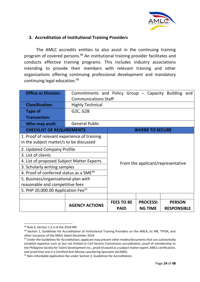![](_page_24_Picture_0.jpeg)

## **3. Accreditation of Institutional Training Providers**

The AMLC accredits entities to also assist in the continuing training program of covered persons.48 An institutional training provider facilitates and conducts effective training programs. This includes industry associations intending to provide their members with relevant training and other organizations offering continuing professional development and mandatory continuing legal education.49

| <b>Office or Division:</b>                          | Commitments and Policy Group – Capacity Building and |                                   |                        |                    |  |
|-----------------------------------------------------|------------------------------------------------------|-----------------------------------|------------------------|--------------------|--|
|                                                     | <b>Communications Staff</b>                          |                                   |                        |                    |  |
| <b>Classification:</b>                              | <b>Highly Technical</b>                              |                                   |                        |                    |  |
| <b>Type of</b>                                      | G <sub>2</sub> C, G <sub>2</sub> B                   |                                   |                        |                    |  |
| <b>Transaction:</b>                                 |                                                      |                                   |                        |                    |  |
| Who may avail:                                      | <b>General Public</b>                                |                                   |                        |                    |  |
| <b>CHECKLIST OF REQUIREMENTS</b>                    |                                                      |                                   | <b>WHERE TO SECURE</b> |                    |  |
| 1. Proof of relevant experience of training         |                                                      |                                   |                        |                    |  |
| in the subject matter/s to be discussed             |                                                      |                                   |                        |                    |  |
|                                                     | 2. Updated Company Profile                           |                                   |                        |                    |  |
| 3. List of clients                                  |                                                      |                                   |                        |                    |  |
| 4. List of proposed Subject Matter Experts          |                                                      | From the applicant/representative |                        |                    |  |
| 3. Scholarly writing samples                        |                                                      |                                   |                        |                    |  |
| 4. Proof of conferred status as a SME <sup>50</sup> |                                                      |                                   |                        |                    |  |
| 5. Business/organizational plan with                |                                                      |                                   |                        |                    |  |
|                                                     | reasonable and competitive fees                      |                                   |                        |                    |  |
| 5. PHP 20,000.00 Application Fee <sup>51</sup>      |                                                      |                                   |                        |                    |  |
|                                                     |                                                      |                                   |                        |                    |  |
|                                                     | <b>AGENCY ACTIONS</b>                                | <b>FEES TO BE</b>                 | <b>PROCESSI</b>        | <b>PERSON</b>      |  |
|                                                     |                                                      | <b>PAID</b>                       | <b>NG TIME</b>         | <b>RESPONSIBLE</b> |  |

<sup>48</sup> Rule 6, Section 1.5.3 of the 2018 IRR.

<sup>49</sup> Section 1, Guidelines for Accreditation of Institutional Training Providers on the AMLA, its IRR, TFPSA, and other Issuances of the AMLC dated December 2018.

<sup>&</sup>lt;sup>50</sup> Under the Guidelines for Accreditation, applicant may present other modes/documents that can substantially establish expertise such as but not limited to Civil Service Commission accreditation, proof of membership to the Philippine Society for Talent Development Inc., proof of award as a subject matter expert, AMLC certification, and proof that one is a Certified Anti-Money Laundering Specialist (ACAMS).

<sup>&</sup>lt;sup>51</sup> Non-refundable application fee under Section 3, Guidelines for Accreditation.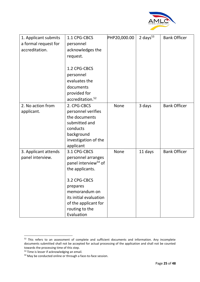![](_page_25_Picture_0.jpeg)

| 1. Applicant submits | 1.1 CPG-CBCS                     | PHP20,000.00 | 2 days $53$ | <b>Bank Officer</b> |
|----------------------|----------------------------------|--------------|-------------|---------------------|
| a formal request for | personnel                        |              |             |                     |
| accreditation.       | acknowledges the                 |              |             |                     |
|                      | request.                         |              |             |                     |
|                      |                                  |              |             |                     |
|                      | 1.2 CPG-CBCS                     |              |             |                     |
|                      | personnel                        |              |             |                     |
|                      | evaluates the                    |              |             |                     |
|                      | documents                        |              |             |                     |
|                      | provided for                     |              |             |                     |
|                      | accreditation. <sup>52</sup>     |              |             |                     |
| 2. No action from    | 2. CPG-CBCS                      | <b>None</b>  | 3 days      | <b>Bank Officer</b> |
| applicant.           | personnel verifies               |              |             |                     |
|                      | the documents                    |              |             |                     |
|                      | submitted and                    |              |             |                     |
|                      | conducts                         |              |             |                     |
|                      | background                       |              |             |                     |
|                      | investigation of the             |              |             |                     |
|                      | applicant                        |              |             |                     |
| 3. Applicant attends | 3.1 CPG-CBCS                     | None         | 11 days     | <b>Bank Officer</b> |
| panel interview.     | personnel arranges               |              |             |                     |
|                      | panel interview <sup>54</sup> of |              |             |                     |
|                      | the applicants.                  |              |             |                     |
|                      |                                  |              |             |                     |
|                      | 3.2 CPG-CBCS                     |              |             |                     |
|                      | prepares                         |              |             |                     |
|                      | memorandum on                    |              |             |                     |
|                      | its initial evaluation           |              |             |                     |
|                      | of the applicant for             |              |             |                     |
|                      | routing to the                   |              |             |                     |
|                      | Evaluation                       |              |             |                     |

<sup>&</sup>lt;sup>52</sup> This refers to an assessment of complete and sufficient documents and information. Any incomplete documents submitted shall not be accepted for actual processing of the application and shall not be counted towards the processing time of this step.

<sup>53</sup> Time is lesser if acknowledging an email.

<sup>54</sup> May be conducted online or through a face-to-face session.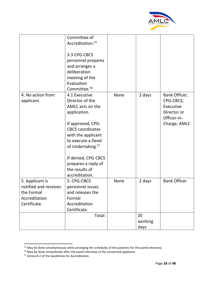![](_page_26_Picture_0.jpeg)

|                                                                                         | Committee of<br>Accreditation. <sup>55</sup><br>3.3 CPG-CBCS<br>personnel prepares<br>and arranges a<br>deliberation<br>meeting of the<br>Evaluation<br>Committee. <sup>56</sup>                                                                                                   |             |                       |                                                                                       |
|-----------------------------------------------------------------------------------------|------------------------------------------------------------------------------------------------------------------------------------------------------------------------------------------------------------------------------------------------------------------------------------|-------------|-----------------------|---------------------------------------------------------------------------------------|
| 4. No action from<br>applicant.                                                         | 4.1 Executive<br>Director of the<br>AMLC acts on the<br>application.<br>If approved, CPG-<br><b>CBCS</b> coordinates<br>with the applicant<br>to execute a Deed<br>of Undertaking. <sup>57</sup><br>If denied, CPG-CBCS<br>prepares a reply of<br>the results of<br>accreditation. | <b>None</b> | 2 days                | Bank Officer,<br>CPG-CBCS;<br>Executive<br>Director or<br>Officer-in-<br>Charge, AMLC |
| 5. Applicant is<br>notified and receives<br>the Formal<br>Accreditation<br>Certificate. | 5. CPG-CBCS<br>personnel issues<br>and releases the<br>Formal<br>Accreditation<br>Certificate.                                                                                                                                                                                     | <b>None</b> | 2 days                | <b>Bank Officer</b>                                                                   |
|                                                                                         | Total:                                                                                                                                                                                                                                                                             |             | 20<br>working<br>days |                                                                                       |

<sup>&</sup>lt;sup>55</sup> May be done simultaneously while arranging the schedules of the panelists for the panel interview.

<sup>&</sup>lt;sup>56</sup> May be done immediately after the panel interview of the concerned applicant.

<sup>57</sup> Annex B-2 of the Guidelines for Accreditation.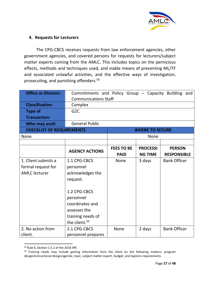![](_page_27_Picture_0.jpeg)

## **4. Requests for Lecturers**

The CPG-CBCS receives requests from law enforcement agencies, other government agencies, and covered persons for requests for lecturers/subject matter experts coming from the AMLC. This includes topics on the pernicious effects, methods and techniques used, and viable means of preventing ML/TF and associated unlawful activities, and the effective ways of investigation, prosecuting, and punishing offenders.58

| <b>Office or Division:</b>       | Commitments and Policy Group - Capacity Building and |                   |                        |                     |
|----------------------------------|------------------------------------------------------|-------------------|------------------------|---------------------|
|                                  | <b>Communications Staff</b>                          |                   |                        |                     |
| <b>Classification:</b>           | Complex                                              |                   |                        |                     |
| <b>Type of</b>                   | G <sub>2</sub> C                                     |                   |                        |                     |
| <b>Transaction:</b>              |                                                      |                   |                        |                     |
| Who may avail:                   | <b>General Public</b>                                |                   |                        |                     |
| <b>CHECKLIST OF REQUIREMENTS</b> |                                                      |                   | <b>WHERE TO SECURE</b> |                     |
| <b>None</b>                      |                                                      |                   | <b>None</b>            |                     |
|                                  |                                                      |                   |                        |                     |
|                                  | <b>AGENCY ACTIONS</b>                                | <b>FEES TO BE</b> | <b>PROCESSI</b>        | <b>PERSON</b>       |
|                                  |                                                      | <b>PAID</b>       | <b>NG TIME</b>         | <b>RESPONSIBLE</b>  |
| 1. Client submits a              | 1.1 CPG-CBCS                                         | <b>None</b>       | 3 days                 | <b>Bank Officer</b> |
| formal request for               | personnel                                            |                   |                        |                     |
| <b>AMLC</b> lecturer             | acknowledges the                                     |                   |                        |                     |
|                                  | request.                                             |                   |                        |                     |
|                                  |                                                      |                   |                        |                     |
|                                  | 1.2 CPG-CBCS                                         |                   |                        |                     |
|                                  | personnel                                            |                   |                        |                     |
|                                  | coordinates and                                      |                   |                        |                     |
|                                  | assesses the                                         |                   |                        |                     |
|                                  | training needs of                                    |                   |                        |                     |
|                                  | the client. <sup>59</sup>                            |                   |                        |                     |
| 2. No action from                | 2.1 CPG-CBCS                                         | <b>None</b>       | 2 days                 | <b>Bank Officer</b> |
| client.                          | personnel prepares                                   |                   |                        |                     |

<sup>58</sup> Rule 6, Section 1.5.1 of the 2018 IRR.

<sup>&</sup>lt;sup>59</sup> Training needs may include getting information from the client on the following matters: program design/instructional design/agenda, topic, subject matter expert, budget, and logistics requirements.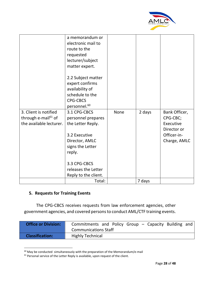![](_page_28_Picture_0.jpeg)

|                                 | a memorandum or<br>electronic mail to<br>route to the<br>requested<br>lecturer/subject<br>matter expert.<br>2.2 Subject matter<br>expert confirms<br>availability of<br>schedule to the<br><b>CPG-CBCS</b><br>personnel. <sup>60</sup> |      |        |               |
|---------------------------------|----------------------------------------------------------------------------------------------------------------------------------------------------------------------------------------------------------------------------------------|------|--------|---------------|
| 3. Client is notified           | 3.1 CPG-CBCS                                                                                                                                                                                                                           | None | 2 days | Bank Officer, |
| through e-mail <sup>61</sup> of | personnel prepares                                                                                                                                                                                                                     |      |        | CPG-CBC;      |
| the available lecturer.         | the Letter Reply.                                                                                                                                                                                                                      |      |        | Executive     |
|                                 |                                                                                                                                                                                                                                        |      |        | Director or   |
|                                 | 3.2 Executive                                                                                                                                                                                                                          |      |        | Officer-in-   |
|                                 | Director, AMLC                                                                                                                                                                                                                         |      |        | Charge, AMLC  |
|                                 | signs the Letter                                                                                                                                                                                                                       |      |        |               |
|                                 | reply.                                                                                                                                                                                                                                 |      |        |               |
|                                 | 3.3 CPG-CBCS                                                                                                                                                                                                                           |      |        |               |
|                                 | releases the Letter                                                                                                                                                                                                                    |      |        |               |
|                                 | Reply to the client.                                                                                                                                                                                                                   |      |        |               |
|                                 | Total:                                                                                                                                                                                                                                 |      | 7 days |               |
|                                 |                                                                                                                                                                                                                                        |      |        |               |

# **5. Requests for Training Events**

The CPG-CBCS receives requests from law enforcement agencies, other government agencies, and covered persons to conduct AML/CTF training events.

| <b>Office or Division:</b> | Commitments and Policy Group – Capacity Building and<br><b>Communications Staff</b> |
|----------------------------|-------------------------------------------------------------------------------------|
| <b>Classification:</b>     | <b>Highly Technical</b>                                                             |

 $60$  May be conducted simultaneously with the preparation of the Memorandum/e-mail

 $61$  Personal service of the Letter Reply is available, upon request of the client.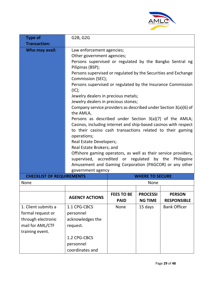![](_page_29_Picture_0.jpeg)

| <b>Type of</b>                   | G2B, G2G                                                                                                        |                        |                 |                     |  |
|----------------------------------|-----------------------------------------------------------------------------------------------------------------|------------------------|-----------------|---------------------|--|
| <b>Transaction:</b>              |                                                                                                                 |                        |                 |                     |  |
| Who may avail:                   | Law enforcement agencies;                                                                                       |                        |                 |                     |  |
|                                  | Other government agencies;                                                                                      |                        |                 |                     |  |
|                                  | Persons supervised or regulated by the Bangko Sentral ng<br>Pilipinas (BSP);                                    |                        |                 |                     |  |
|                                  | Persons supervised or regulated by the Securities and Exchange<br>Commission (SEC);                             |                        |                 |                     |  |
|                                  | Persons supervised or regulated by the Insurance Commission                                                     |                        |                 |                     |  |
|                                  | (IC);                                                                                                           |                        |                 |                     |  |
|                                  | Jewelry dealers in precious metals;                                                                             |                        |                 |                     |  |
|                                  | Jewelry dealers in precious stones;                                                                             |                        |                 |                     |  |
|                                  | Company service providers as described under Section 3(a)(6) of<br>the AMLA,                                    |                        |                 |                     |  |
|                                  | Persons as described under Section 3(a)(7) of the AMLA;                                                         |                        |                 |                     |  |
|                                  | Casinos, including internet and ship-based casinos with respect                                                 |                        |                 |                     |  |
|                                  | to their casino cash transactions related to their gaming                                                       |                        |                 |                     |  |
|                                  | operations;                                                                                                     |                        |                 |                     |  |
|                                  | <b>Real Estate Developers;</b>                                                                                  |                        |                 |                     |  |
|                                  | Real Estate Brokers; and                                                                                        |                        |                 |                     |  |
|                                  | Offshore gaming operators, as well as their service providers,                                                  |                        |                 |                     |  |
|                                  | supervised, accredited or regulated by the Philippine<br>Amusement and Gaming Corporation (PAGCOR) or any other |                        |                 |                     |  |
|                                  | government agency                                                                                               |                        |                 |                     |  |
| <b>CHECKLIST OF REQUIREMENTS</b> |                                                                                                                 | <b>WHERE TO SECURE</b> |                 |                     |  |
| None                             |                                                                                                                 |                        | None            |                     |  |
|                                  |                                                                                                                 |                        |                 |                     |  |
|                                  | <b>AGENCY ACTIONS</b>                                                                                           | <b>FEES TO BE</b>      | <b>PROCESSI</b> | <b>PERSON</b>       |  |
|                                  |                                                                                                                 | <b>PAID</b>            | <b>NG TIME</b>  | <b>RESPONSIBLE</b>  |  |
| 1. Client submits a              | 1.1 CPG-CBCS                                                                                                    | <b>None</b>            | 15 days         | <b>Bank Officer</b> |  |
| formal request or                | personnel                                                                                                       |                        |                 |                     |  |
| through electronic               | acknowledges the                                                                                                |                        |                 |                     |  |
| mail for AML/CTF                 | request.                                                                                                        |                        |                 |                     |  |
| training event.                  |                                                                                                                 |                        |                 |                     |  |
|                                  | 1.2 CPG-CBCS                                                                                                    |                        |                 |                     |  |
|                                  | personnel                                                                                                       |                        |                 |                     |  |
|                                  | coordinates and                                                                                                 |                        |                 |                     |  |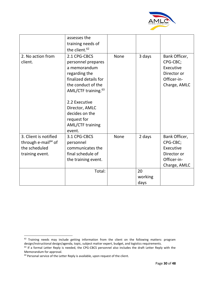![](_page_30_Picture_0.jpeg)

|                                 | assesses the                    |             |         |               |
|---------------------------------|---------------------------------|-------------|---------|---------------|
|                                 | training needs of               |             |         |               |
|                                 | the client. <sup>62</sup>       |             |         |               |
| 2. No action from               | 2.1 CPG-CBCS                    | <b>None</b> | 3 days  | Bank Officer, |
| client.                         | personnel prepares              |             |         | CPG-CBC;      |
|                                 | a memorandum                    |             |         | Executive     |
|                                 | regarding the                   |             |         | Director or   |
|                                 | finalized details for           |             |         | Officer-in-   |
|                                 | the conduct of the              |             |         | Charge, AMLC  |
|                                 | AML/CTF training. <sup>63</sup> |             |         |               |
|                                 |                                 |             |         |               |
|                                 | 2.2 Executive                   |             |         |               |
|                                 | Director, AMLC                  |             |         |               |
|                                 | decides on the                  |             |         |               |
|                                 | request for                     |             |         |               |
|                                 | <b>AML/CTF training</b>         |             |         |               |
|                                 | event.                          |             |         |               |
| 3. Client is notified           | 3.1 CPG-CBCS                    | <b>None</b> | 2 days  | Bank Officer, |
| through e-mail <sup>64</sup> of | personnel                       |             |         | CPG-CBC;      |
| the scheduled                   | communicates the                |             |         | Executive     |
| training event.                 | final schedule of               |             |         | Director or   |
|                                 | the training event.             |             |         | Officer-in-   |
|                                 |                                 |             |         | Charge, AMLC  |
|                                 | Total:                          |             | 20      |               |
|                                 |                                 |             | working |               |
|                                 |                                 |             | days    |               |

<sup>&</sup>lt;sup>62</sup> Training needs may include getting information from the client on the following matters: program design/instructional design/agenda, topic, subject matter expert, budget, and logistics requirements.

<sup>&</sup>lt;sup>63</sup> If a formal Letter Reply is needed, the CPG-CBCS personnel also includes the draft Letter Reply with the Memorandum for approval.

<sup>&</sup>lt;sup>64</sup> Personal service of the Letter Reply is available, upon request of the client.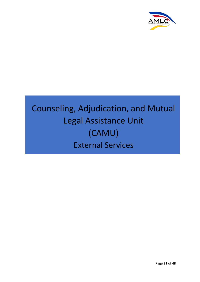![](_page_31_Picture_0.jpeg)

# Counseling, Adjudication, and Mutual Legal Assistance Unit (CAMU) External Services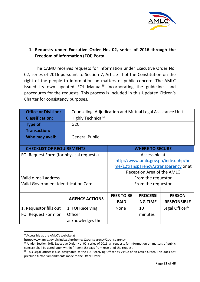![](_page_32_Picture_0.jpeg)

# **1. Requests under Executive Order No. 02, series of 2016 through the Freedom of Information (FOI) Portal**

The CAMU receives requests for information under Executive Order No. 02, series of 2016 pursuant to Section 7, Article III of the Constitution on the right of the people to information on matters of public concern. The AMLC issued its own updated FOI Manual<sup>65</sup> incorporating the guidelines and procedures for the requests. This process is included in this Updated Citizen's Charter for consistency purposes.

| <b>Office or Division:</b>                  | Counseling, Adjudication and Mutual Legal Assistance Unit |                                                  |                        |                    |  |  |
|---------------------------------------------|-----------------------------------------------------------|--------------------------------------------------|------------------------|--------------------|--|--|
| <b>Classification:</b>                      | Highly Technical <sup>66</sup>                            |                                                  |                        |                    |  |  |
| <b>Type of</b>                              | G <sub>2</sub> C                                          |                                                  |                        |                    |  |  |
| <b>Transaction:</b>                         |                                                           |                                                  |                        |                    |  |  |
| Who may avail:                              | <b>General Public</b>                                     |                                                  |                        |                    |  |  |
|                                             |                                                           |                                                  |                        |                    |  |  |
| <b>CHECKLIST OF REQUIREMENTS</b>            |                                                           |                                                  | <b>WHERE TO SECURE</b> |                    |  |  |
| FOI Request Form (for physical requests)    | Accessible at                                             |                                                  |                        |                    |  |  |
|                                             | http://www.amlc.gov.ph/index.php/ho                       |                                                  |                        |                    |  |  |
|                                             | me/12transparency/2transparency or at                     |                                                  |                        |                    |  |  |
|                                             | Reception Area of the AMLC                                |                                                  |                        |                    |  |  |
| Valid e-mail address                        |                                                           | From the requestor                               |                        |                    |  |  |
| <b>Valid Government Identification Card</b> |                                                           |                                                  | From the requestor     |                    |  |  |
|                                             |                                                           |                                                  |                        |                    |  |  |
|                                             | <b>AGENCY ACTIONS</b>                                     | <b>FEES TO BE</b>                                | <b>PROCESSI</b>        | <b>PERSON</b>      |  |  |
|                                             |                                                           | <b>PAID</b>                                      | <b>NG TIME</b>         | <b>RESPONSIBLE</b> |  |  |
| 1. Requestor fills out                      | 1. FOI Receiving                                          | Legal Officer <sup>68</sup><br><b>None</b><br>10 |                        |                    |  |  |
| FOI Request Form or                         | Officer                                                   |                                                  | minutes                |                    |  |  |
|                                             | acknowledges the                                          |                                                  |                        |                    |  |  |

<sup>&</sup>lt;sup>65</sup>Accessible at the AMLC's website at

http://www.amlc.gov.ph/index.php/home/12transparency/2transparency.

<sup>&</sup>lt;sup>66</sup> Under Section 9(d), Executive Order No. 02, series of 2016, all requests for information on matters of public concern shall be acted upon within fifteen (15) days from receipt of the request.

<sup>&</sup>lt;sup>68</sup> This Legal Officer is also designated as the FOI Receiving Officer by virtue of an Office Order. This does not preclude further amendments made to the Office Order.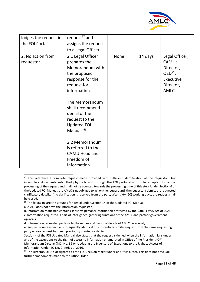![](_page_33_Picture_0.jpeg)

| lodges the request in           | request <sup>67</sup> and                                                                                                                                                                                                                                                                                                            |             |         |                                                                                               |
|---------------------------------|--------------------------------------------------------------------------------------------------------------------------------------------------------------------------------------------------------------------------------------------------------------------------------------------------------------------------------------|-------------|---------|-----------------------------------------------------------------------------------------------|
| the FOI Portal                  | assigns the request                                                                                                                                                                                                                                                                                                                  |             |         |                                                                                               |
|                                 | to a Legal Officer.                                                                                                                                                                                                                                                                                                                  |             |         |                                                                                               |
| 2. No action from<br>requestor. | 2.1 Legal Officer<br>prepares the<br>Memorandum with<br>the proposed<br>response for the<br>request for<br>information.<br>The Memorandum<br>shall recommend<br>denial of the<br>request to the<br><b>Updated FOI</b><br>Manual. <sup>69</sup><br>2.2 Memorandum<br>is referred to the<br>CAMU Head and<br>Freedom of<br>Information | <b>None</b> | 14 days | Legal Officer,<br>CAMU;<br>Director,<br>$OED^{71}$ ;<br>Executive<br>Director,<br><b>AMLC</b> |

<sup>&</sup>lt;sup>67</sup> This reference a complete request made provided with sufficient identification of the requestor. Any incomplete documents submitted physically and through the FOI portal shall not be accepted for actual processing of the request and shall not be counted towards the processing time of this step. Under Section 6 of the Updated FOI Manual, the AMLC is not obliged to act on the request until the requestor submits the requested clarificatory details. If no clarification is received from the party after sixty (60) working days, the request shall be closed.

<sup>&</sup>lt;sup>69</sup> The following are the grounds for denial under Section 14 of the Updated FOI Manual:

a. AMLC does not have the information requested;

b. Information requested contains sensitive personal information protected by the Data Privacy Act of 2021;

c. Information requested is part of intelligence-gathering functions of the AMLC and partner government agencies;

d. Information requested pertains to the names and personal details of AMLC personnel;

e. Request is unreasonable, subsequently identical or substantially similar request from the same requesting party whose request has been previously granted or denied.

Section 4 of the FOI Updated Manual also states that the request is denied when the information falls under any of the exceptions to the right of access to information enumerated in Office of the President (OP) Memorandum Circular (MC) No. 89 on Updating the Inventory of Exceptions to the Right to Access of Information Under EO No. 2, series of 2016.

 $71$  The Director, OED is designated as the FOI Decision Maker under an Office Order. This does not preclude further amendments made to the Office Order.